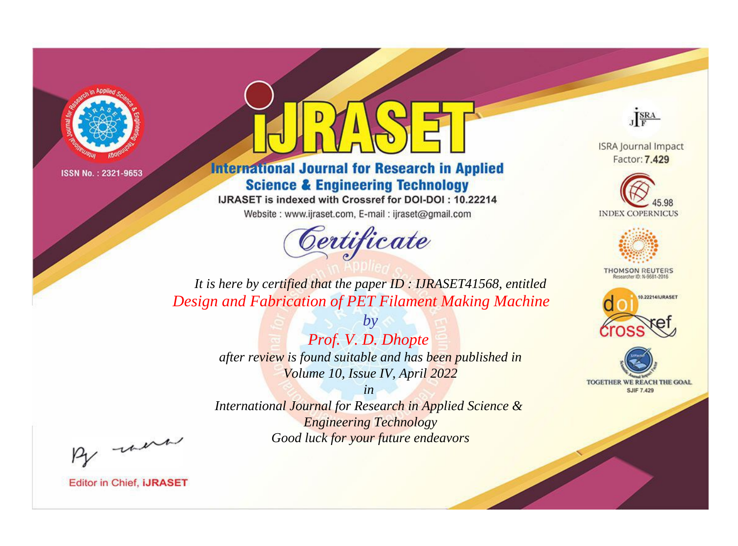

# **International Journal for Research in Applied Science & Engineering Technology**

IJRASET is indexed with Crossref for DOI-DOI: 10.22214

Website: www.ijraset.com, E-mail: ijraset@gmail.com



JERA

**ISRA Journal Impact** Factor: 7.429





**THOMSON REUTERS** 



TOGETHER WE REACH THE GOAL **SJIF 7.429** 

It is here by certified that the paper ID: IJRASET41568, entitled Design and Fabrication of PET Filament Making Machine

> Prof. V. D. Dhopte after review is found suitable and has been published in Volume 10, Issue IV, April 2022

 $by$ 

 $in$ International Journal for Research in Applied Science & **Engineering Technology** Good luck for your future endeavors

By morn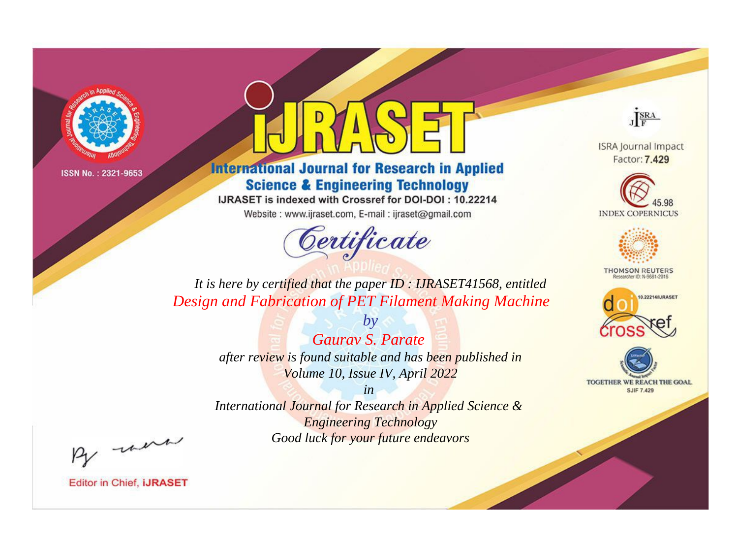

# **International Journal for Research in Applied Science & Engineering Technology**

IJRASET is indexed with Crossref for DOI-DOI: 10.22214

Website: www.ijraset.com, E-mail: ijraset@gmail.com



JERA

**ISRA Journal Impact** Factor: 7.429





**THOMSON REUTERS** 



TOGETHER WE REACH THE GOAL **SJIF 7.429** 

*It is here by certified that the paper ID : IJRASET41568, entitled Design and Fabrication of PET Filament Making Machine*

> *Gaurav S. Parate after review is found suitable and has been published in Volume 10, Issue IV, April 2022*

*by*

*in* 

*International Journal for Research in Applied Science & Engineering Technology Good luck for your future endeavors*

By morn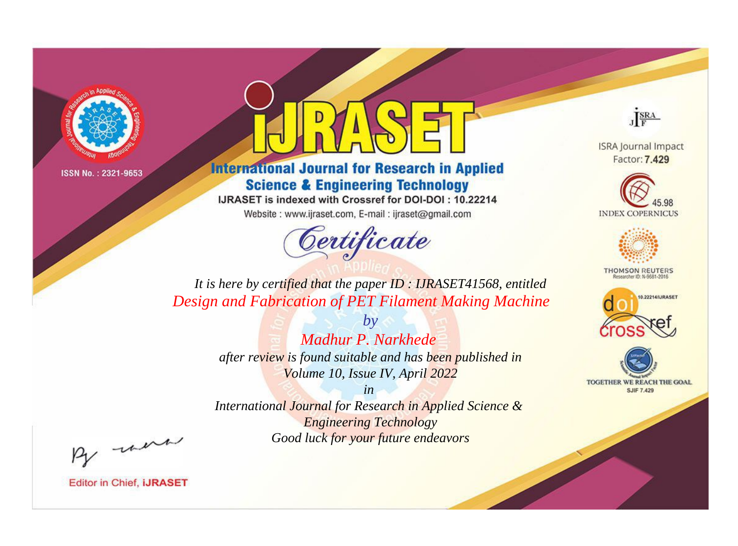

# **International Journal for Research in Applied Science & Engineering Technology**

IJRASET is indexed with Crossref for DOI-DOI: 10.22214

Website: www.ijraset.com, E-mail: ijraset@gmail.com



JERA

**ISRA Journal Impact** Factor: 7.429





**THOMSON REUTERS** 



TOGETHER WE REACH THE GOAL **SJIF 7.429** 

*It is here by certified that the paper ID : IJRASET41568, entitled Design and Fabrication of PET Filament Making Machine*

> *Madhur P. Narkhede after review is found suitable and has been published in*

*by*

*Volume 10, Issue IV, April 2022 in* 

*International Journal for Research in Applied Science & Engineering Technology Good luck for your future endeavors*

By morn